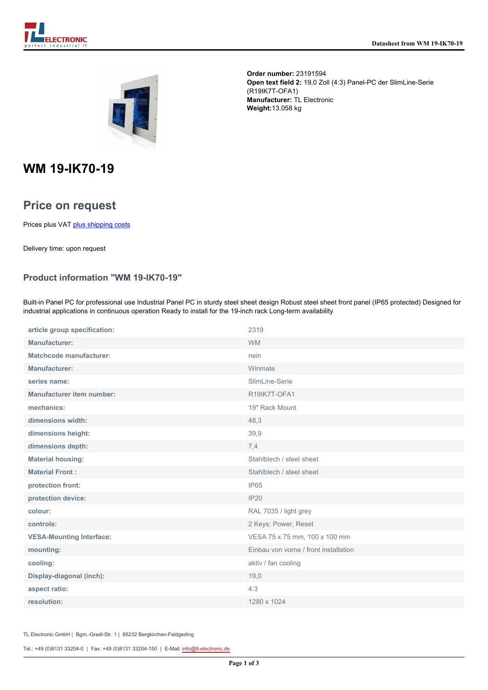

**Order number:** 23191594 **Open text field 2:** 19,0 Zoll (4:3) Panel-PC der SlimLine-Serie (R19IK7T-OFA1) **Manufacturer:** TL Electronic **Weight:**13.058 kg

# **WM 19-IK70-19**

## **Price on request**

Prices plus VAT [plus shipping costs](https://www.tl-electronic.com/payment/dispatch)

Delivery time: upon request

#### **Product information "WM 19-IK70-19"**

Built-in Panel PC for professional use Industrial Panel PC in sturdy steel sheet design Robust steel sheet front panel (IP65 protected) Designed for industrial applications in continuous operation Ready to install for the 19-inch rack Long-term availability

| article group specification:     | 2319                                  |
|----------------------------------|---------------------------------------|
| <b>Manufacturer:</b>             | <b>WM</b>                             |
| <b>Matchcode manufacturer:</b>   | nein                                  |
| Manufacturer:                    | Winmate                               |
| series name:                     | SlimLine-Serie                        |
| <b>Manufacturer item number:</b> | R19IK7T-OFA1                          |
| mechanics:                       | 19" Rack Mount                        |
| dimensions width:                | 48,3                                  |
| dimensions height:               | 39,9                                  |
| dimensions depth:                | 7,4                                   |
| <b>Material housing:</b>         | Stahlblech / steel sheet              |
| <b>Material Front:</b>           | Stahlblech / steel sheet              |
| protection front:                | IP65                                  |
| protection device:               | <b>IP20</b>                           |
| colour:                          | RAL 7035 / light grey                 |
| controls:                        | 2 Keys: Power, Reset                  |
| <b>VESA-Mounting Interface:</b>  | VESA 75 x 75 mm, 100 x 100 mm         |
| mounting:                        | Einbau von vorne / front installation |
| cooling:                         | aktiv / fan cooling                   |
| Display-diagonal (inch):         | 19,0                                  |
| aspect ratio:                    | 4:3                                   |
| resolution:                      | 1280 x 1024                           |

TL Electronic GmbH | Bgm.-Gradl-Str. 1 | 85232 Bergkirchen-Feldgeding

Tel.: +49 (0)8131 33204-0 | Fax: +49 (0)8131 33204-150 | E-Mail: [info@tl-electronic.de](mailto:info@tl-electronic.de)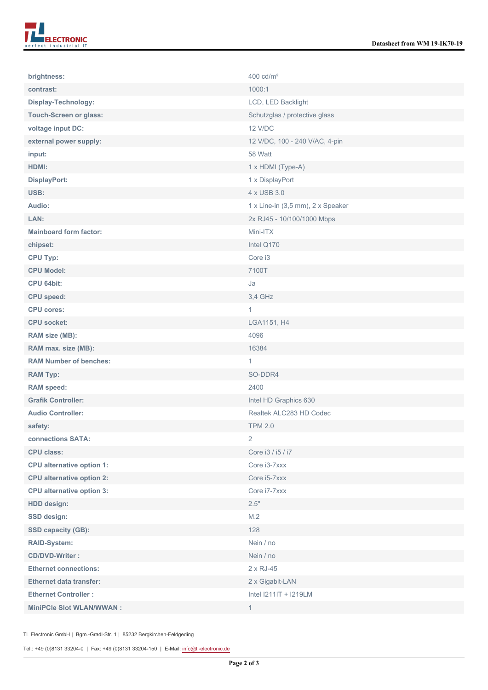| brightness:                      | 400 cd/m <sup>2</sup>             |
|----------------------------------|-----------------------------------|
| contrast:                        | 1000:1                            |
| Display-Technology:              | LCD, LED Backlight                |
| <b>Touch-Screen or glass:</b>    | Schutzglas / protective glass     |
| voltage input DC:                | <b>12 V/DC</b>                    |
| external power supply:           | 12 V/DC, 100 - 240 V/AC, 4-pin    |
| input:                           | 58 Watt                           |
| HDMI:                            | 1 x HDMI (Type-A)                 |
| <b>DisplayPort:</b>              | 1 x DisplayPort                   |
| USB:                             | 4 x USB 3.0                       |
| Audio:                           | 1 x Line-in (3,5 mm), 2 x Speaker |
| LAN:                             | 2x RJ45 - 10/100/1000 Mbps        |
| <b>Mainboard form factor:</b>    | Mini-ITX                          |
| chipset:                         | Intel Q170                        |
| <b>CPU Typ:</b>                  | Core i3                           |
| <b>CPU Model:</b>                | 7100T                             |
| CPU 64bit:                       | Ja                                |
| <b>CPU</b> speed:                | 3,4 GHz                           |
| <b>CPU cores:</b>                | $\mathbf{1}$                      |
| <b>CPU socket:</b>               | LGA1151, H4                       |
| RAM size (MB):                   | 4096                              |
| RAM max. size (MB):              | 16384                             |
| <b>RAM Number of benches:</b>    | 1                                 |
| <b>RAM Typ:</b>                  | SO-DDR4                           |
| <b>RAM</b> speed:                | 2400                              |
| <b>Grafik Controller:</b>        | Intel HD Graphics 630             |
| <b>Audio Controller:</b>         | Realtek ALC283 HD Codec           |
| safety:                          | <b>TPM 2.0</b>                    |
| connections SATA:                | 2                                 |
| <b>CPU class:</b>                | Core i3 / i5 / i7                 |
| <b>CPU alternative option 1:</b> | Core i3-7xxx                      |
| <b>CPU alternative option 2:</b> | Core i5-7xxx                      |
| <b>CPU alternative option 3:</b> | Core i7-7xxx                      |
| <b>HDD</b> design:               | 2.5"                              |
| <b>SSD design:</b>               | M.2                               |
| <b>SSD capacity (GB):</b>        | 128                               |
| <b>RAID-System:</b>              | Nein / no                         |
| <b>CD/DVD-Writer:</b>            | Nein / no                         |
| <b>Ethernet connections:</b>     | 2 x RJ-45                         |
| <b>Ethernet data transfer:</b>   | 2 x Gigabit-LAN                   |
| <b>Ethernet Controller:</b>      | Intel I211IT + I219LM             |
| <b>MiniPCle Slot WLAN/WWAN:</b>  | $\mathbf{1}$                      |

TL Electronic GmbH | Bgm.-Gradl-Str. 1 | 85232 Bergkirchen-Feldgeding

Tel.: +49 (0)8131 33204-0 | Fax: +49 (0)8131 33204-150 | E-Mail: [info@tl-electronic.de](mailto:info@tl-electronic.de)